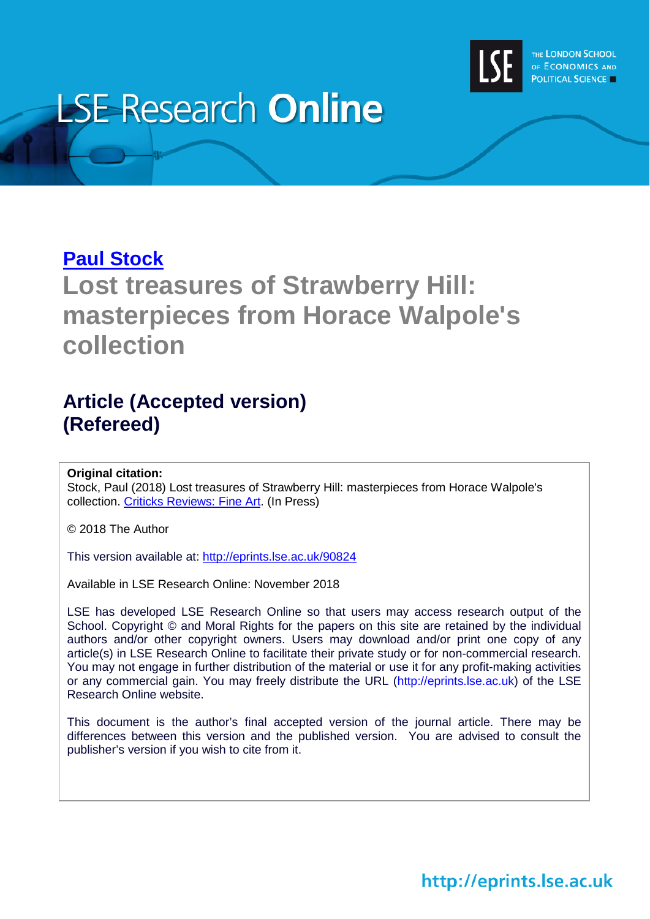

# **LSE Research Online**

## **[Paul Stock](http://www.lse.ac.uk/International-History/People/academicStaff/stock/stock)**

## **Lost treasures of Strawberry Hill: masterpieces from Horace Walpole's collection**

## **Article (Accepted version) (Refereed)**

### **Original citation:**

Stock, Paul (2018) Lost treasures of Strawberry Hill: masterpieces from Horace Walpole's collection. [Criticks Reviews: Fine Art.](https://www.bsecs.org.uk/review-category/fine-art/) (In Press)

© 2018 The Author

This version available at:<http://eprints.lse.ac.uk/90824>

Available in LSE Research Online: November 2018

LSE has developed LSE Research Online so that users may access research output of the School. Copyright © and Moral Rights for the papers on this site are retained by the individual authors and/or other copyright owners. Users may download and/or print one copy of any article(s) in LSE Research Online to facilitate their private study or for non-commercial research. You may not engage in further distribution of the material or use it for any profit-making activities or any commercial gain. You may freely distribute the URL (http://eprints.lse.ac.uk) of the LSE Research Online website.

This document is the author's final accepted version of the journal article. There may be differences between this version and the published version. You are advised to consult the publisher's version if you wish to cite from it.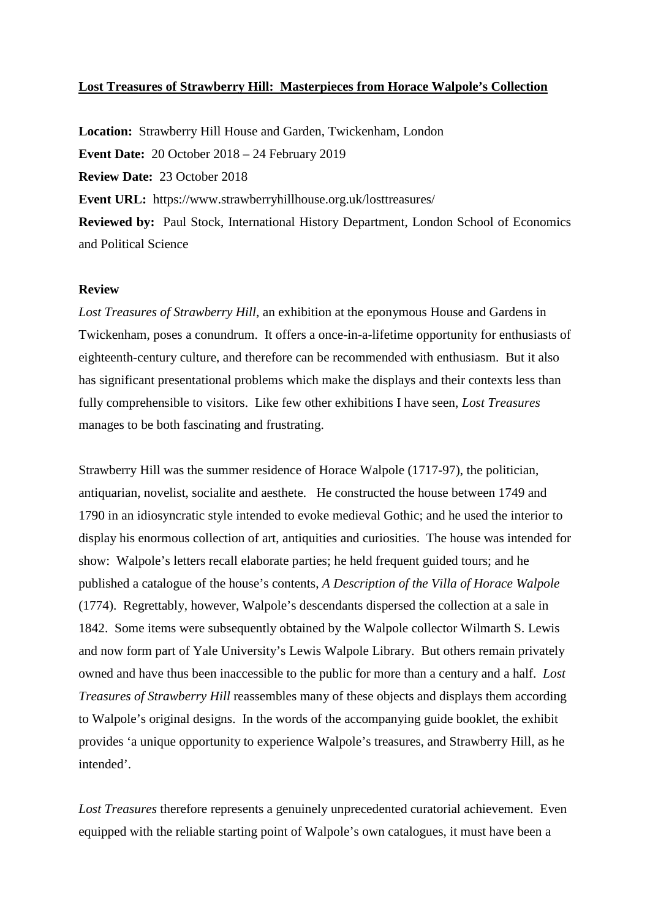#### **Lost Treasures of Strawberry Hill: Masterpieces from Horace Walpole's Collection**

**Location:** Strawberry Hill House and Garden, Twickenham, London **Event Date:** 20 October 2018 – 24 February 2019 **Review Date:** 23 October 2018 **Event URL:** https://www.strawberryhillhouse.org.uk/losttreasures/ **Reviewed by:** Paul Stock, International History Department, London School of Economics and Political Science

#### **Review**

*Lost Treasures of Strawberry Hill*, an exhibition at the eponymous House and Gardens in Twickenham, poses a conundrum. It offers a once-in-a-lifetime opportunity for enthusiasts of eighteenth-century culture, and therefore can be recommended with enthusiasm. But it also has significant presentational problems which make the displays and their contexts less than fully comprehensible to visitors. Like few other exhibitions I have seen, *Lost Treasures* manages to be both fascinating and frustrating.

Strawberry Hill was the summer residence of Horace Walpole (1717-97), the politician, antiquarian, novelist, socialite and aesthete. He constructed the house between 1749 and 1790 in an idiosyncratic style intended to evoke medieval Gothic; and he used the interior to display his enormous collection of art, antiquities and curiosities. The house was intended for show: Walpole's letters recall elaborate parties; he held frequent guided tours; and he published a catalogue of the house's contents, *A Description of the Villa of Horace Walpole*  (1774). Regrettably, however, Walpole's descendants dispersed the collection at a sale in 1842. Some items were subsequently obtained by the Walpole collector Wilmarth S. Lewis and now form part of Yale University's Lewis Walpole Library. But others remain privately owned and have thus been inaccessible to the public for more than a century and a half. *Lost Treasures of Strawberry Hill* reassembles many of these objects and displays them according to Walpole's original designs. In the words of the accompanying guide booklet, the exhibit provides 'a unique opportunity to experience Walpole's treasures, and Strawberry Hill, as he intended'.

*Lost Treasures* therefore represents a genuinely unprecedented curatorial achievement. Even equipped with the reliable starting point of Walpole's own catalogues, it must have been a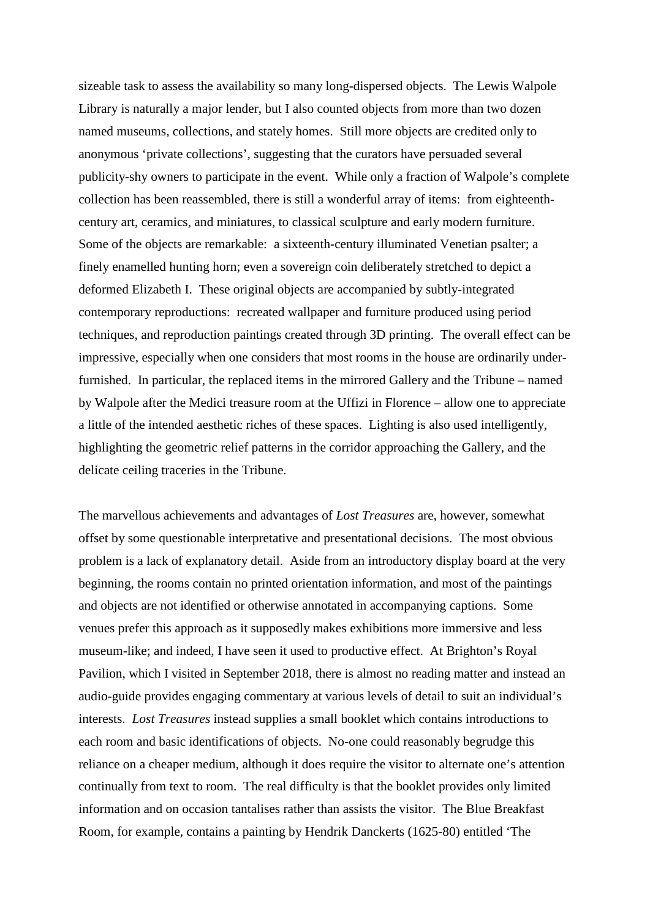sizeable task to assess the availability so many long-dispersed objects. The Lewis Walpole Library is naturally a major lender, but I also counted objects from more than two dozen named museums, collections, and stately homes. Still more objects are credited only to anonymous 'private collections', suggesting that the curators have persuaded several publicity-shy owners to participate in the event. While only a fraction of Walpole's complete collection has been reassembled, there is still a wonderful array of items: from eighteenthcentury art, ceramics, and miniatures, to classical sculpture and early modern furniture. Some of the objects are remarkable: a sixteenth-century illuminated Venetian psalter; a finely enamelled hunting horn; even a sovereign coin deliberately stretched to depict a deformed Elizabeth I. These original objects are accompanied by subtly-integrated contemporary reproductions: recreated wallpaper and furniture produced using period techniques, and reproduction paintings created through 3D printing. The overall effect can be impressive, especially when one considers that most rooms in the house are ordinarily underfurnished. In particular, the replaced items in the mirrored Gallery and the Tribune – named by Walpole after the Medici treasure room at the Uffizi in Florence – allow one to appreciate a little of the intended aesthetic riches of these spaces. Lighting is also used intelligently, highlighting the geometric relief patterns in the corridor approaching the Gallery, and the delicate ceiling traceries in the Tribune.

The marvellous achievements and advantages of *Lost Treasures* are, however, somewhat offset by some questionable interpretative and presentational decisions. The most obvious problem is a lack of explanatory detail. Aside from an introductory display board at the very beginning, the rooms contain no printed orientation information, and most of the paintings and objects are not identified or otherwise annotated in accompanying captions. Some venues prefer this approach as it supposedly makes exhibitions more immersive and less museum-like; and indeed, I have seen it used to productive effect. At Brighton's Royal Pavilion, which I visited in September 2018, there is almost no reading matter and instead an audio-guide provides engaging commentary at various levels of detail to suit an individual's interests. *Lost Treasures* instead supplies a small booklet which contains introductions to each room and basic identifications of objects. No-one could reasonably begrudge this reliance on a cheaper medium, although it does require the visitor to alternate one's attention continually from text to room. The real difficulty is that the booklet provides only limited information and on occasion tantalises rather than assists the visitor. The Blue Breakfast Room, for example, contains a painting by Hendrik Danckerts (1625-80) entitled 'The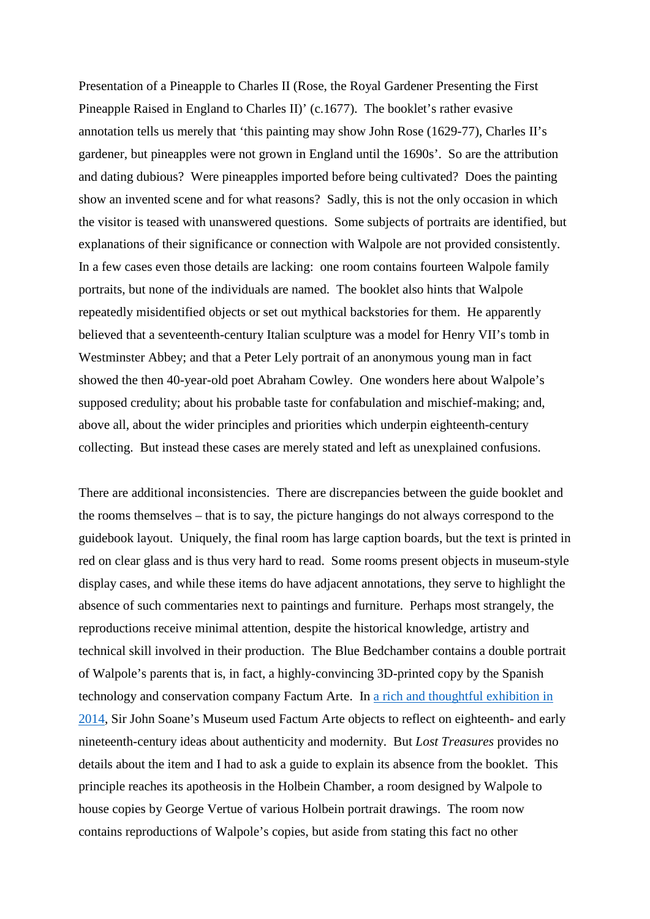Presentation of a Pineapple to Charles II (Rose, the Royal Gardener Presenting the First Pineapple Raised in England to Charles II)' (c.1677). The booklet's rather evasive annotation tells us merely that 'this painting may show John Rose (1629-77), Charles II's gardener, but pineapples were not grown in England until the 1690s'. So are the attribution and dating dubious? Were pineapples imported before being cultivated? Does the painting show an invented scene and for what reasons? Sadly, this is not the only occasion in which the visitor is teased with unanswered questions. Some subjects of portraits are identified, but explanations of their significance or connection with Walpole are not provided consistently. In a few cases even those details are lacking: one room contains fourteen Walpole family portraits, but none of the individuals are named. The booklet also hints that Walpole repeatedly misidentified objects or set out mythical backstories for them. He apparently believed that a seventeenth-century Italian sculpture was a model for Henry VII's tomb in Westminster Abbey; and that a Peter Lely portrait of an anonymous young man in fact showed the then 40-year-old poet Abraham Cowley. One wonders here about Walpole's supposed credulity; about his probable taste for confabulation and mischief-making; and, above all, about the wider principles and priorities which underpin eighteenth-century collecting. But instead these cases are merely stated and left as unexplained confusions.

There are additional inconsistencies. There are discrepancies between the guide booklet and the rooms themselves – that is to say, the picture hangings do not always correspond to the guidebook layout. Uniquely, the final room has large caption boards, but the text is printed in red on clear glass and is thus very hard to read. Some rooms present objects in museum-style display cases, and while these items do have adjacent annotations, they serve to highlight the absence of such commentaries next to paintings and furniture. Perhaps most strangely, the reproductions receive minimal attention, despite the historical knowledge, artistry and technical skill involved in their production. The Blue Bedchamber contains a double portrait of Walpole's parents that is, in fact, a highly-convincing 3D-printed copy by the Spanish technology and conservation company Factum Arte. In a rich and thoughtful exhibition in [2014,](https://www.bsecs.org.uk/criticks-reviews/diverse-maniere-piranesi-fantasy-and-excess/) Sir John Soane's Museum used Factum Arte objects to reflect on eighteenth- and early nineteenth-century ideas about authenticity and modernity. But *Lost Treasures* provides no details about the item and I had to ask a guide to explain its absence from the booklet. This principle reaches its apotheosis in the Holbein Chamber, a room designed by Walpole to house copies by George Vertue of various Holbein portrait drawings. The room now contains reproductions of Walpole's copies, but aside from stating this fact no other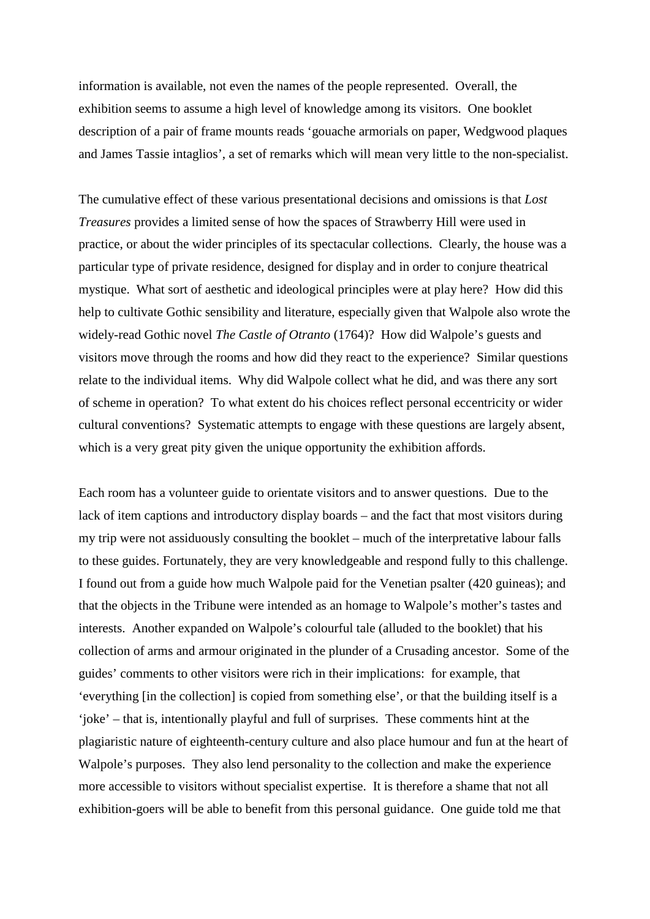information is available, not even the names of the people represented. Overall, the exhibition seems to assume a high level of knowledge among its visitors. One booklet description of a pair of frame mounts reads 'gouache armorials on paper, Wedgwood plaques and James Tassie intaglios', a set of remarks which will mean very little to the non-specialist.

The cumulative effect of these various presentational decisions and omissions is that *Lost Treasures* provides a limited sense of how the spaces of Strawberry Hill were used in practice, or about the wider principles of its spectacular collections. Clearly, the house was a particular type of private residence, designed for display and in order to conjure theatrical mystique. What sort of aesthetic and ideological principles were at play here? How did this help to cultivate Gothic sensibility and literature, especially given that Walpole also wrote the widely-read Gothic novel *The Castle of Otranto* (1764)? How did Walpole's guests and visitors move through the rooms and how did they react to the experience? Similar questions relate to the individual items. Why did Walpole collect what he did, and was there any sort of scheme in operation? To what extent do his choices reflect personal eccentricity or wider cultural conventions? Systematic attempts to engage with these questions are largely absent, which is a very great pity given the unique opportunity the exhibition affords.

Each room has a volunteer guide to orientate visitors and to answer questions. Due to the lack of item captions and introductory display boards – and the fact that most visitors during my trip were not assiduously consulting the booklet – much of the interpretative labour falls to these guides. Fortunately, they are very knowledgeable and respond fully to this challenge. I found out from a guide how much Walpole paid for the Venetian psalter (420 guineas); and that the objects in the Tribune were intended as an homage to Walpole's mother's tastes and interests. Another expanded on Walpole's colourful tale (alluded to the booklet) that his collection of arms and armour originated in the plunder of a Crusading ancestor. Some of the guides' comments to other visitors were rich in their implications: for example, that 'everything [in the collection] is copied from something else', or that the building itself is a 'joke' – that is, intentionally playful and full of surprises. These comments hint at the plagiaristic nature of eighteenth-century culture and also place humour and fun at the heart of Walpole's purposes. They also lend personality to the collection and make the experience more accessible to visitors without specialist expertise. It is therefore a shame that not all exhibition-goers will be able to benefit from this personal guidance. One guide told me that